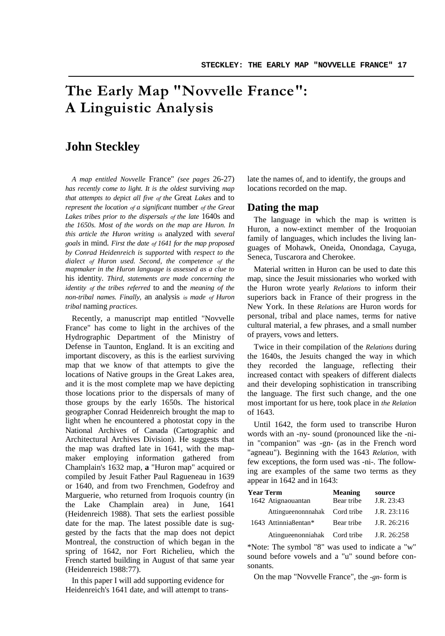# **The Early Map "Novvelle France": A Linguistic Analysis**

# **John Steckley**

*A map entitled Novvelle* France" *(see pages* 26-27) *has recently come to light. It is the oldest* surviving *map that attempts to depict all five of the* Great *Lakes* and to *represent the location of a significant* number *of the Great Lakes tribes prior to the dispersals of the late* 1640s and *the 1650s. Most of the words on the map are Huron. In this article the Huron writing is* analyzed with *several goals* in mind. *First the date of 1641 for the map proposed by Conrad Heidenreich is supported* with *respect to the dialect of Huron used. Second, the competence of the mapmaker in the Huron language is assessed as a clue to* his identity. *Third, statements are made concerning the identity of the tribes referred* to and the *meaning of the non-tribal names. Finally,* an analysis *is made of Huron tribal* naming *practices.*

Recently, a manuscript map entitled "Novvelle France" has come to light in the archives of the Hydrographic Department of the Ministry of Defense in Taunton, England. It is an exciting and important discovery, as this is the earliest surviving map that we know of that attempts to give the locations of Native groups in the Great Lakes area, and it is the most complete map we have depicting those locations prior to the dispersals of many of those groups by the early 1650s. The historical geographer Conrad Heidenreich brought the map to light when he encountered a photostat copy in the National Archives of Canada (Cartographic and Architectural Archives Division). He suggests that the map was drafted late in 1641, with the mapmaker employing information gathered from Champlain's 1632 map, **a** "Huron map" acquired or compiled by Jesuit Father Paul Ragueneau in 1639 or 1640, and from two Frenchmen, Godefroy and Marguerie, who returned from Iroquois country (in the Lake Champlain area) in June, 1641 (Heidenreich 1988). That sets the earliest possible date for the map. The latest possible date is suggested by the facts that the map does not depict Montreal, the construction of which began in the spring of 1642, nor Fort Richelieu, which the French started building in August of that same year (Heidenreich 1988:77).

In this paper I will add supporting evidence for Heidenreich's 1641 date, and will attempt to translate the names of, and to identify, the groups and locations recorded on the map.

## **Dating the map**

The language in which the map is written is Huron, a now-extinct member of the Iroquoian family of languages, which includes the living languages of Mohawk, Oneida, Onondaga, Cayuga, Seneca, Tuscarora and Cherokee.

Material written in Huron can be used to date this map, since the Jesuit missionaries who worked with the Huron wrote yearly *Relations* to inform their superiors back in France of their progress in the New York. In these *Relations* are Huron words for personal, tribal and place names, terms for native cultural material, a few phrases, and a small number of prayers, vows and letters.

Twice in their compilation of the *Relations* during the 1640s, the Jesuits changed the way in which they recorded the language, reflecting their increased contact with speakers of different dialects and their developing sophistication in transcribing the language. The first such change, and the one most important for us here, took place in *the Relation* of 1643.

Until 1642, the form used to transcribe Huron words with an -ny- sound (pronounced like the -niin "companion" was -gn- (as in the French word "agneau"). Beginning with the 1643 *Relation,* with few exceptions, the form used was -ni-. The following are examples of the same two terms as they appear in 1642 and in 1643:

| <b>Year Term</b>             | Meaning    | source      |
|------------------------------|------------|-------------|
| 1642 Atignaouantan           | Bear tribe | J.R. 23:43  |
| Attingueenonnnahak           | Cord tribe | J.R. 23:116 |
| 1643 Attinnia8entan*         | Bear tribe | J.R. 26:216 |
| Atingueenonniahak Cord tribe |            | J.R. 26:258 |

\*Note: The symbol "8" was used to indicate a "w" sound before vowels and a "u" sound before consonants.

On the map "Novvelle France", the *-gn-* form is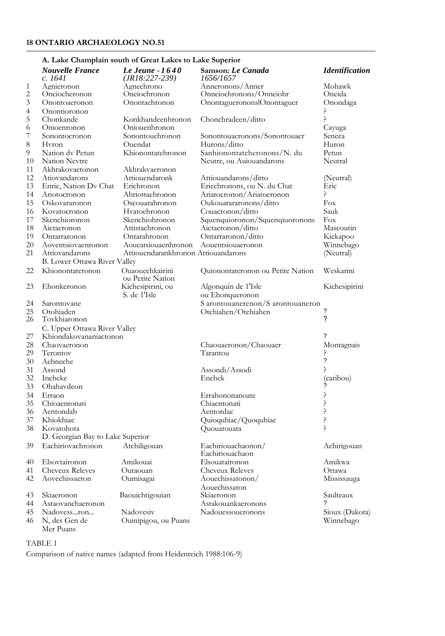# **A. Lake Champlain south of Great Lakes to Lake Superior**

|                                            |                                     | 11. Law Champiani south of Great Lawes to Lawe Superior |                                       |                       |
|--------------------------------------------|-------------------------------------|---------------------------------------------------------|---------------------------------------|-----------------------|
|                                            | <b>Nouvelle France</b><br>c. 1641   | Le Jeune - 1640<br>$(JR18:227-239)$                     | Samson: Le Canada<br>1656/1657        | <b>Identification</b> |
| $\mathbf{1}$                               | Agnieronon                          | Agneehrono                                              | Anneronons/Anner                      | Mohawk                |
| $\frac{2}{3}$                              | Onciocheronon                       | Oneiochronon                                            | Onneiochronons/Onneiohr               | Oneida                |
|                                            | Onontoaeronon                       | Onontaehronon                                           | OnontaguerononslOnontaguer            | Onondaga              |
|                                            | Onontioronon                        |                                                         |                                       | 5.                    |
| $\begin{array}{c} 4 \\ 5 \\ 6 \end{array}$ | Chonkande                           | Konkhandeenhronon                                       | Chonchradeen/ditto                    | 5.                    |
|                                            | Onioenronon                         | Oniouenhronon                                           |                                       | Cayuga                |
| 7                                          | Sonontocronon                       | Sonontouehronon                                         | Sonontouaeronons/Sonontouaer          | Seneca                |
| 8                                          | Hvron                               | Ouendat                                                 | Hurons/ditto                          | Huron                 |
| 9                                          | Nation dv Petun                     | Khionontatehronon                                       | Sanhionontateheronons/N. du           | Petun                 |
| 10                                         | Nation Nevtre                       |                                                         | Neutre, ou Auiouandarons              | Neutral               |
| 11                                         | Akhrakovaetonon                     | Akhrakvaeronon                                          |                                       |                       |
| 12                                         | Atiovandarons                       | Attiouendaronk                                          | Attiouandarons/ditto                  | (Neutral)             |
| 13                                         | Enrie, Nation Dv Chat               | Erichronon                                              | Eriechronons, ou N. du Chat           | Erie                  |
| 14                                         | Ariotocronon                        | Ahriottaehronon                                         | Ariatocronon/Ariatoeronon             | ç                     |
| 15                                         | Oskovararonon                       | Oscouarahronon                                          | Oukouarararonons/ditto                | Fox                   |
| 16                                         | Kovatocronon                        | Hvatoehronon                                            | Couacronon/ditto                      | Sauk                  |
| 17                                         | Skenchioronon                       | Skenchiohronon                                          | Squenquioronon/Squenqiuoronons        | Fox                   |
| 18                                         | Aictaeronon                         | Attistaehronon                                          | Aictaeronon/ditto                     | Mascoutin             |
| 19                                         | Ontarraronon                        | Ontarahronon                                            | Ontarraronon/ditto                    | Kickapoo              |
| 20                                         | Aoventsiovaenronon                  | Aoueatsiouaenhronon                                     | Aouentsiouaeronon                     | Winnebago             |
| 21                                         | Attiovandarons                      | Attiouendarankhronon Attiouandarons                     |                                       | (Neutral)             |
|                                            | <b>B.</b> Lower Ottawa River Valley |                                                         |                                       |                       |
| 22                                         | Khionontatetonon                    | Ouaouechkairini<br>ou Petite Nation                     | Quionontateronon ou Petite Nation     | Weskarini             |
| 23                                         | Ehonkeronon                         | Kichesipirini, ou                                       | Algonquin de 1'Isle                   | Kichesipirini         |
|                                            |                                     | S. de 1'Isle                                            | ou Ehonqueronon                       |                       |
| 24                                         | Sarontovane                         |                                                         | S arontouanerenon/S arontouaneron     |                       |
| 25<br>26                                   | Otohiaden                           |                                                         | Otchiahen/Otehiahen                   | ?                     |
|                                            | Tovkhiaronon                        |                                                         |                                       | ?                     |
|                                            | C. Upper Ottawa River Valley        |                                                         |                                       |                       |
| 27                                         | Khiondakovananiactonon              |                                                         |                                       | ?                     |
| 28                                         | Chaovaeronon                        |                                                         | Chaouaeronon/Chaouaer                 | Montagnais            |
| 29                                         | Terontov                            |                                                         | Tarantou                              | ?                     |
| 30                                         | Aebneche                            |                                                         |                                       | $\ddot{\phantom{0}}$  |
| 31                                         | Assond                              |                                                         | Assondi/Assodi                        | Ç                     |
| 32                                         | Incheke                             |                                                         | Enchek                                | (caribou)             |
| 33                                         | Ohahavdeon                          |                                                         |                                       |                       |
| 34                                         | Erraon                              |                                                         | Errahononanoate                       | 5                     |
| 35                                         | Chioaentonati                       |                                                         | Chiaentonati                          | 5                     |
| 36                                         | Aentondab                           |                                                         | Aentordac                             | 5                     |
| 37                                         | Khiokhiac                           |                                                         | Quioquhiac/Quoquhiae                  | 5.                    |
| 38                                         | Kovatohota                          |                                                         | Quouatouata                           | Ç                     |
|                                            | D. Georgian Bay to Lake Superior    |                                                         |                                       |                       |
| 39                                         | Eachiriovachronon                   | Atchiligouan                                            | Eachiriouachaonon/<br>Eachiriouachaon | Achirigouan           |
| 40                                         | Elsovtaironon                       | Amikouai                                                | Elsouataironon                        | Amikwa                |
| 41                                         | <b>Cheveux Releves</b>              | Outaouan                                                | <b>Cheveux Releves</b>                | Ottawa                |
| 42                                         | Aovechissaeton                      | Oumisagai                                               | Aouechissatonon/                      | Mississauga           |
|                                            |                                     |                                                         | Aouechissaton                         |                       |
| 43                                         | Skiaeronon                          | Baouichtigouian                                         | Skiaeronon                            | Saulteaux             |
| 44                                         | Astaovanchaeronon                   |                                                         | Astakouankaeronons                    | ?                     |
| 45                                         | Nadovessron                         | Nadovesiv                                               | Nadouessoueronons                     | Sioux (Dakota)        |
| 46                                         | N, des Gen de<br>Mer Puans          | Ouinipigou, ou Puans                                    |                                       | Winnebago             |

### TABLE 1

Comparison of native names (adapted from Heidenreich 1988:106-9)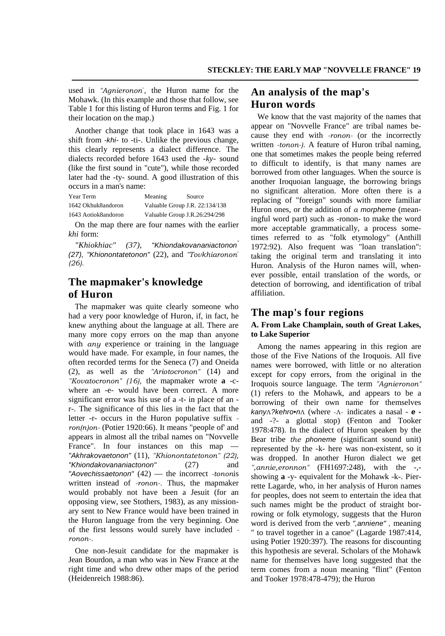used in *"Agnieronon*" *,* the Huron name for the Mohawk. (In this example and those that follow, see Table 1 for this listing of Huron terms and Fig. 1 for their location on the map.)

Another change that took place in 1643 was a shift from *-khi-* to -ti-. Unlike the previous change, this clearly represents a dialect difference. The dialects recorded before 1643 used the *-ky-* sound (like the first sound in "cute"), while those recorded later had the -ty- sound. A good illustration of this occurs in a man's name:

| Year Term           | Meaning                       | Source                         |
|---------------------|-------------------------------|--------------------------------|
| 1642 Okhuk8andoron  |                               | Valuable Group J.R. 22:134/138 |
| 1643 Aotiok8andoron | Valuable Group J.R.26:294/298 |                                |

On the map there are four names with the earlier *khi* form:

*"Khiokhiac" (37), "Khiondakovananiactonon" (27), "Khionontatetonon"* (22), and *"Tovkhiaronon*" *(26).*

# **The mapmaker's knowledge of Huron**

The mapmaker was quite clearly someone who had a very poor knowledge of Huron, if, in fact, he knew anything about the language at all. There are many more copy errors on the map than anyone with *any* experience or training in the language would have made. For example, in four names, the often recorded terms for the Seneca (7) and Oneida (2), as well as the *"Ariotocronon"* (14) and *"Kovatocronon" (16),* the mapmaker wrote **a** -cwhere an -e- would have been correct. A more significant error was his use of a -t- in place of an r-. The significance of this lies in the fact that the letter -r- occurs in the Huron populative suffix  *ron(n)on-* (Potier 1920:66). It means "people of' and appears in almost all the tribal names on "Novvelle France". In four instances on this map — *"Akhrakovaetonon"* (11), *"Khionontatetonon" (22), "Khiondakovananiactonon"* (27) and *"Aovechissaetonon"* (42) — the incorrect *-tonon*is written instead of *-ronon-.* Thus, the mapmaker would probably not have been a Jesuit (for an opposing view, see Stothers, 1983), as any missionary sent to New France would have been trained in the Huron language from the very beginning. One of the first lessons would surely have included  *ronon-.*

One non-Jesuit candidate for the mapmaker is Jean Bourdon, a man who was in New France at the right time and who drew other maps of the period (Heidenreich 1988:86).

# **An analysis of the map's Huron words**

We know that the vast majority of the names that appear on "Novvelle France" are tribal names because they end with *-ronon-* (or the incorrectly written *-tonon-).* A feature of Huron tribal naming, one that sometimes makes the people being referred to difficult to identify, is that many names are borrowed from other languages. When the source is another Iroquoian language, the borrowing brings no significant alteration. More often there is a replacing of "foreign" sounds with more familiar Huron ones, or the addition of *a morpheme* (meaningful word part) such as -ronon- to make the word more acceptable grammatically, a process sometimes referred to as "folk etymology" (Anthill 1972:92). Also frequent was "loan translation": taking the original term and translating it into Huron. Analysis of the Huron names will, whenever possible, entail translation of the words, or detection of borrowing, and identification of tribal affiliation.

## **The map's four regions**

## **A. From Lake Champlain, south of Great Lakes, to Lake Superior**

Among the names appearing in this region are those of the Five Nations of the Iroquois. All five names were borrowed, with little or no alteration except for copy errors, from the original in the Iroquois source language. The term *"Agnieronon"* (1) refers to the Mohawk, and appears to be a borrowing of their own name for themselves *kany*Λ*?kehro•n*Λ (where -Λ- indicates a nasal - *e*  and -?- a glottal stop) (Fenton and Tooker 1978:478). In the dialect of Huron speaken by the Bear tribe *the phoneme* (significant sound unit) represented by the -k- here was non-existent, so it was dropped. In another Huron dialect we get *",annie,eronnon"* (FH1697:248), with the -, showing **a** -y- equivalent for the Mohawk -k-. Pierrette Lagarde, who, in her analysis of Huron names for peoples, does not seem to entertain the idea that such names might be the product of straight borrowing or folk etymology, suggests that the Huron word is derived from the verb *",anniene" ,* meaning " to travel together in a canoe" (Lagarde 1987:414, using Potier 1920:397). The reasons for discounting this hypothesis are several. Scholars of the Mohawk name for themselves have long suggested that the term comes from a noun meaning "flint" (Fenton and Tooker 1978:478-479); the Huron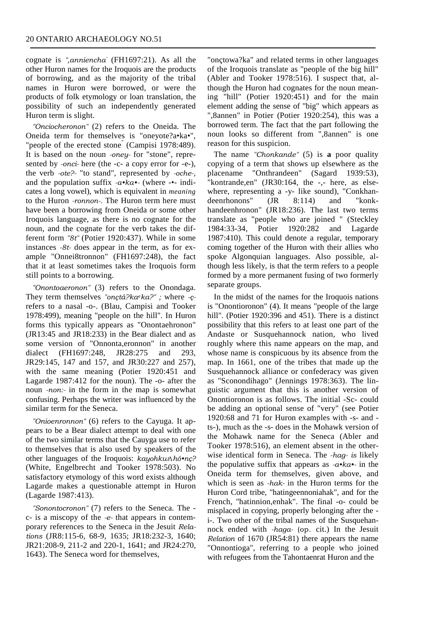cognate is *",anniencha"* (FH1697:21). As all the other Huron names for the Iroquois are the products of borrowing, and as the majority of the tribal names in Huron were borrowed, or were the products of folk etymology or loan translation, the possibility of such an independently generated Huron term is slight.

*"Onciocheronon"* (2) refers to the Oneida. The Oneida term for themselves is "oneyote?a•ka•", "people of the erected stone" (Campisi 1978:489). It is based on the noun *-oney-* for "stone", represented by *-onci-* here (the -c- a copy error for -e-), the verb *-ote?-* "to stand", represented by *-oche-,* and the population suffix *-a•ka•-* (where -•- indicates a long vowel), which is equivalent in *meaning* to the Huron *-ronnon-.* The Huron term here must have been a borrowing from Oneida or some other Iroquois language, as there is no cognate for the noun, and the cognate for the verb takes the different form *"8t"* (Potier 1920:437). While in some instances *-8t-* does appear in the term, as for example "Onnei8tronnon" (FH1697:248), the fact that it at least sometimes takes the Iroquois form still points to a borrowing.

*"Onontoaeronon"* (3) refers to the Onondaga. They term themselves *"onçtá?kaeka?" ;* where *-ç*refers to a nasal -o-. (Blau, Campisi and Tooker 1978:499), meaning "people on the hill". In Huron forms this typically appears as "Onontaehronon" (JR13:45 and JR18:233) in the Bear dialect and as some version of "Onnonta,eronnon" in another dialect (FH1697:248, JR28:275 and 293, JR29:145, 147 and 157, and JR30:227 and 257), with the same meaning (Potier 1920:451 and Lagarde 1987:412 for the noun). The -o- after the noun *-non:-* in the form in the map is somewhat confusing. Perhaps the writer was influenced by the similar term for the Seneca.

*"Onioenronnon"* (6) refers to the Cayuga. It appears to be a Bear dialect attempt to deal with one of the two similar terms that the Cauyga use to refer to themselves that is also used by speakers of the other languages of the Iroquois: *kayohkw*Λ*hó•nç?* (White, Engelbrecht and Tooker 1978:503). No satisfactory etymology of this word exists although Lagarde makes a questionable attempt in Huron (Lagarde 1987:413).

*"Sonontocronon"* (7) refers to the Seneca. The c- is a miscopy of the *-e-* that appears in contemporary references to the Seneca in the Jesuit *Relations* (JR8:115-6, 68-9, 1635; JR18:232-3, 1640; JR21:208-9, 211-2 and 220-1, 1641; and JR24:270, 1643). The Seneca word for themselves,

"onçtowa?ka" and related terms in other languages of the Iroquois translate as "people of the big hill" (Abler and Tooker 1978:516). I suspect that, although the Huron had cognates for the noun meaning "hill" (Potier 1920:451) and for the main element adding the sense of "big" which appears as ",8annen" in Potier (Potier 1920:254), this was a borrowed term. The fact that the part following the noun looks so different from ",8annen" is one reason for this suspicion.

The name *"Chonkande"* (5) is **a** poor quality copying of a term that shows up elsewhere as the placename "Onthrandeen" (Sagard 1939:53), "kontrande,en" (JR30:164, the -,- here, as elsewhere, representing a -y- like sound), "Conkhandeenrhonons" (JR 8:114) and "konkhandeenhronon" (JR18:236). The last two terms translate as "people who are joined " (Steckley 1984:33-34, Potier 1920:282 and Lagarde 1987:410). This could denote a regular, temporary coming together of the Huron with their allies who spoke Algonquian languages. Also possible, although less likely, is that the term refers to a people formed by a more permanent fusing of two formerly separate groups.

In the midst of the names for the Iroquois nations is "Onontioronon" (4). It means "people of the large hill". (Potier 1920:396 and 451). There is a distinct possibility that this refers to at least one part of the Andaste or Susquehannock nation, who lived roughly where this name appears on the map, and whose name is conspicuous by its absence from the map. In 1661, one of the tribes that made up the Susquehannock alliance or confederacy was given as "Sconondihago" (Jennings 1978:363). The linguistic argument that this is another version of Onontioronon is as follows. The initial -Sc- could be adding an optional sense of "very" (see Potier 1920:68 and 71 for Huron examples with -s- and ts-), much as the -s- does in the Mohawk version of the Mohawk name for the Seneca (Abler and Tooker 1978:516), an element absent in the otherwise identical form in Seneca. The *-hag- is* likely the populative suffix that appears as *-a•ka•-* in the Oneida term for themselves, given above, and which is seen as *-hak-* in the Huron terms for the Huron Cord tribe, "hatingeennoniahak", and for the French, "hatinnion,enhak". The final -o- could be misplaced in copying, properly belonging after the i-. Two other of the tribal names of the Susquehannock ended with *-haga-* (op. cit.) In the Jesuit *Relation* of 1670 (JR54:81) there appears the name "Onnontioga", referring to a people who joined with refugees from the Tahontaenrat Huron and the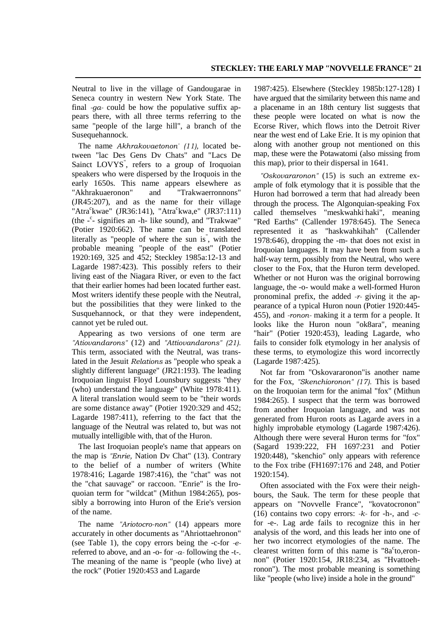Neutral to live in the village of Gandougarae in Seneca country in western New York State. The final *-ga-* could be how the populative suffix appears there, with all three terms referring to the same "people of the large hill", a branch of the Susequehannock.

The name *Akhrakovaetonon" (11),* located between "lac Des Gens Dv Chats" and "Lacs De Sainct LOVYS" , refers to a group of Iroquoian speakers who were dispersed by the Iroquois in the early 1650s. This name appears elsewhere as "Akhrakuaeronon" and "Trakwaerronnons" (JR45:207), and as the name for their village "Atra<sup>c</sup>kwae" (JR36:141), "Atra<sup>c</sup>kwa,e" (JR37:111) (the - c - signifies an -h- like sound), and "Trakwae" (Potier 1920:662). The name can be translated literally as "people of where the sun is" , with the probable meaning "people of the east" (Potier 1920:169, 325 and 452; Steckley 1985a:12-13 and Lagarde 1987:423). This possibly refers to their living east of the Niagara River, or even to the fact that their earlier homes had been located further east. Most writers identify these people with the Neutral, but the possibilities that they were linked to the Susquehannock, or that they were independent, cannot yet be ruled out.

Appearing as two versions of one term are *"Atiovandarons"* (12) and *"Attiovandarons" (21).* This term, associated with the Neutral, was translated in the Jesuit *Relations* as "people who speak a slightly different language" (JR21:193). The leading Iroquoian linguist Floyd Lounsbury suggests "they (who) understand the language" (White 1978:411). A literal translation would seem to be "their words are some distance away" (Potier 1920:329 and 452; Lagarde 1987:411), referring to the fact that the language of the Neutral was related to, but was not mutually intelligible with, that of the Huron.

The last Iroquoian people's name that appears on the map is *"Enrie,* Nation Dv Chat" (13). Contrary to the belief of a number of writers (White 1978:416; Lagarde 1987:416), the "chat" was not the "chat sauvage" or raccoon. "Enrie" is the Iroquoian term for "wildcat" (Mithun 1984:265), possibly a borrowing into Huron of the Erie's version of the name.

The name *"Ariotocro-non"* (14) appears more accurately in other documents as "Ahriottaehronon" (see Table 1), the copy errors being the -c-for *-e*referred to above, and an -o- for *-a-* following the -t-. The meaning of the name is "people (who live) at the rock" (Potier 1920:453 and Lagarde

1987:425). Elsewhere (Steckley 1985b:127-128) I have argued that the similarity between this name and a placename in an 18th century list suggests that these people were located on what is now the Ecorse River, which flows into the Detroit River near the west end of Lake Erie. It is my opinion that along with another group not mentioned on this map, these were the Potawatomi (also missing from this map), prior to their dispersal in 1641.

*"Oskovararonon"* (15) is such an extreme example of folk etymology that it is possible that the Huron had borrowed a term that had already been through the process. The Algonquian-speaking Fox called themselves "meskwahki haki", meaning "Red Earths" (Callender 1978:645). The Seneca represented it as "haskwahkihah" (Callender 1978:646), dropping the -m- that does not exist in Iroquoian languages. It may have been from such a half-way term, possibly from the Neutral, who were closer to the Fox, that the Huron term developed. Whether or not Huron was the original borrowing language, the -o- would make a well-formed Huron pronominal prefix, the added *-r-* giving it the appearance of a typical Huron noun (Potier 1920:445- 455), and *-ronon-* making it a term for a people. It looks like the Huron noun "ok8ara", meaning "hair" (Potier 1920:453), leading Lagarde, who fails to consider folk etymology in her analysis of these terms, to etymologize this word incorrectly (Lagarde 1987:425).

Not far from "Oskovararonon"is another name for the Fox, *"Skenchioronon" (17).* This is based on the Iroquoian term for the animal "fox" (Mithun 1984:265). I suspect that the term was borrowed from another Iroquoian language, and was not generated from Huron roots as Lagarde avers in a highly improbable etymology (Lagarde 1987:426). Although there were several Huron terms for "fox" (Sagard 1939:222, FH 1697:231 and Potier 1920:448), "skenchio" only appears with reference to the Fox tribe (FH1697:176 and 248, and Potier 1920:154).

Often associated with the Fox were their neighbours, the Sauk. The term for these people that appears on "Novvelle France", "kovatocronon" (16) contains two copy errors: *-k-* for -h-, and *-c*for -e-. Lag arde fails to recognize this in her analysis of the word, and this leads her into one of her two incorrect etymologies of the name. The clearest written form of this name is " $8a^c$ to,eronnon" (Potier 1920:154, JR18:234, as "Hvattoehronon"). The most probable meaning is something like "people (who live) inside a hole in the ground"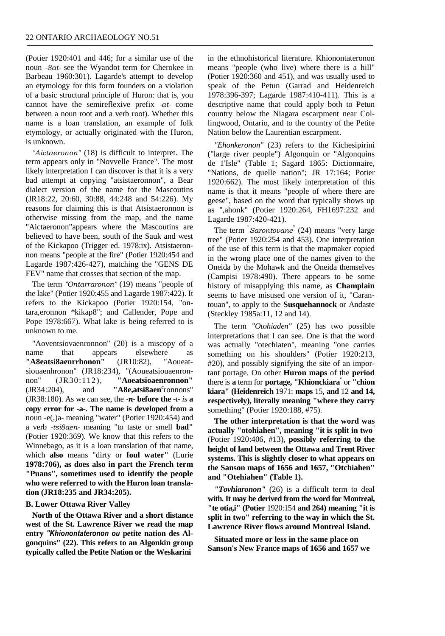(Potier 1920:401 and 446; for a similar use of the noun *-8at-* see the Wyandot term for Cherokee in Barbeau 1960:301). Lagarde's attempt to develop an etymology for this form founders on a violation of a basic structural principle of Huron: that is, you cannot have the semireflexive prefix *-at-* come between a noun root and a verb root). Whether this name is a loan translation, an example of folk etymology, or actually originated with the Huron, is unknown.

*"Aictaeronon"* (18) is difficult to interpret. The term appears only in "Novvelle France". The most likely interpretation I can discover is that it is a very bad attempt at copying "atsistaeronnon", a Bear dialect version of the name for the Mascoutins (JR18:22, 20:60, 30:88, 44:248 and 54:226). My reasons for claiming this is that Atsistaeronnon is otherwise missing from the map, and the name "Aictaeronon"appears where the Mascoutins are believed to have been, south of the Sauk and west of the Kickapoo (Trigger ed. 1978:ix). Atsistaeronnon means "people at the fire" (Potier 1920:454 and Lagarde 1987:426-427), matching the "GENS DE FEV" name that crosses that section of the map.

The term *"Ontarraronon"* (19) means "people of the lake" (Potier 1920:455 and Lagarde 1987:422). It refers to the Kickapoo (Potier 1920:154, "ontara,eronnon \*kikap8"; and Callender, Pope and Pope 1978:667). What lake is being referred to is unknown to me.

"Aoventsiovaenronnon" (20) is a miscopy of a name that appears elsewhere as **"A8eatsi8aenrrhonon"** (JR10:82), "Aoueatsiouaenhronon" (JR18:234), "(Aoueatsiouaenronnon" (JR30:112), **"Aoeatsioaenronnon"**  $(JR34:204)$ , and  $'A8e$ , atsi $8a$ en<sup>c</sup>ronnons" (JR38:180). As we can see, the *-n-* **before the** *-t- is* **a copy error for -a-. The name is developed from a** noun -e(,)a- meaning "water" (Potier 1920:454) and a verb *-tsi8aen-* meaning "to taste or smell **bad"** (Potier 1920:369). We know that this refers to the Winnebago, as it is a loan translation of that name, which **also** means "dirty or **foul water"** (Lurie **1978:706), as does also in part the French term "Puans", sometimes used to identify the people who were referred to with the Huron loan translation (JR18:235 and JR34:205).**

#### **B. Lower Ottawa River Valley**

**North of the Ottawa River and a short distance west of the St. Lawrence River we read the map entry** *"Khionontateronon ou* **petite nation des Algonquins" (22). This refers to an Algonkin group typically called the Petite Nation or the Weskarini**

in the ethnohistorical literature. Khionontateronon means "people (who live) where there is a hill" (Potier 1920:360 and 451), and was usually used to speak of the Petun (Garrad and Heidenreich 1978:396-397; Lagarde 1987:410-411). This is a descriptive name that could apply both to Petun country below the Niagara escarpment near Collingwood, Ontario, and to the country of the Petite Nation below the Laurentian escarpment.

*"Ehonkeronon"* (23) refers to the Kichesipirini ("large river people") Algonquin or "Algonquins de 1'Isle" (Table 1; Sagard 1865: Dictionnaire, "Nations, de quelle nation"; JR 17:164; Potier 1920:662). The most likely interpretation of this name is that it means "people of where there are geese", based on the word that typically shows up as ",ahonk" (Potier 1920:264, FH1697:232 and Lagarde 1987:420-421).

The term " *Sarontovane*" (24) means "very large tree" (Potier 1920:254 and 453). One interpretation of the use of this term is that the mapmaker copied in the wrong place one of the names given to the Oneida by the Mohawk and the Oneida themselves (Campisi 1978:490). There appears to be some history of misapplying this name, as **Champlain** seems to have misused one version of it, "Carantouan", to apply to the **Susquehannock** or Andaste (Steckley 1985a:11, 12 and 14).

The term *"Otohiaden"* (25) has two possible interpretations that I can see. One is that the word was actually "otechiaten", meaning "one carries something on his shoulders" (Potier 1920:213, #20), and possibly signifying the site of an important portage. On other **Huron maps** of the **period** there is **a** term for **portage, "Khionckiara**" or **"chion kiara" (Heidenreich** 1971: **maps** 15, **and** 12 **and 14, respectively), literally meaning "where they carry** something" (Potier 1920:188, #75).

**The other interpretation is that the word was actually "otohiahen", meaning "it is split in two**" (Potier 1920:406, #13), **possibly referring to the height of land between the Ottawa and Trent River systems. This is slightly closer to what appears on the Sanson maps of 1656 and 1657, "Otchiahen" and "Otehiahen" (Table 1).**

*"Tovhiaronon"* (26) is a difficult term to deal **with. It may be derived from the word for Montreal, "te otia,i" (Potier** 1920:154 **and 264) meaning "it is split in two" referring to the way in which the St. Lawrence River flows around Montreal Island.**

**Situated more or less in the same place on Sanson's New France maps of 1656 and 1657 we**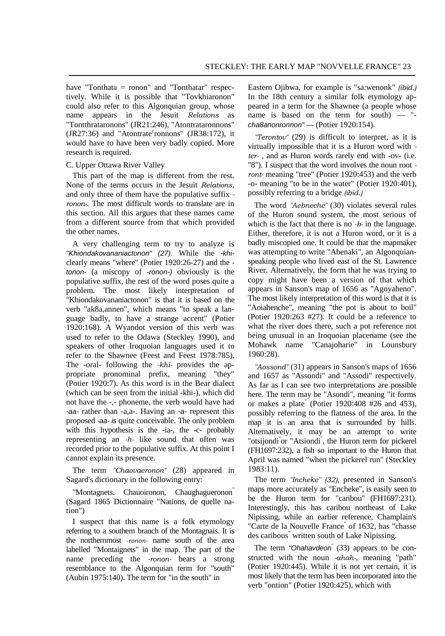have "Tonthata = ronon" and "Tonthatar" respectively. While it is possible that "Tovkhiaronon" could also refer to this Algonquian group, whose name appears in the Jesuit *Relations* as "Tontthrataronons" (JR21:246), "Atontrataronnons"  $(JR27:36)$  and "Atontrate<sup>c</sup>ronnons"  $(JR38:172)$ , it would have to have been very badly copied. More research is required.

#### C. Upper Ottawa River Valley

This part of the map is different from the rest. None of the terms occurs in the Jesuit *Relations,* and only three of them have the populative suffix  *ronon-.* The most difficult words to translate are in this section. All this argues that these names came from a different source from that which provided the other names.

A very challenging term to try to analyze is *"Khiondakovananiactonon" (27).* While the *-khi*clearly means "where" (Potier 1920:26-27) and the  *tonon-* (a miscopy of *-ronon-)* obviously is the populative suffix, the rest of the word poses quite a problem. The most likely interpretation of "Khiondakovananiactonon" is that it is based on the verb "ak8a,annen", which means "to speak a language badly, to have a strange accent" (Potier 1920:168). A Wyandot version of this verb was used to refer to the Odawa (Steckley 1990), and speakers of other Iroquoian languages used it to refer to the Shawnee (Feest and Feest 1978:785). The -oral- following the *-khi-* provides the appropriate pronominal prefix, meaning "they" (Potier 1920:7). As this word is in the Bear dialect (which can be seen from the initial -khi-), which did not have the -,- phoneme, the verb would have had *-aa-* rather than -a,a-. Having an *-a-* represent this proposed *-aa- is* quite conceivable. The only problem with this hypothesis is the -ia-, the -c- probably representing an *-h-* like sound that often was recorded prior to the populative suffix. At this point I cannot explain its presence.

The term *"Chaovaeronon"* (28) appeared in Sagard's dictionary in the following entry:

"Montagnets. Chauoironon, Chaughagueronon<sup>"</sup> (Sagard 1865 Dictionnaire "Nations, de quelle nation")

I suspect that this name is a folk etymology referring to a southern branch of the Montagnais. It is the northernmost *-ronon-* name south of the area labelled "Montaignets" in the map. The part of the name preceding the *-ronon-* bears a strong resemblance to the Algonquian term for "south" (Aubin 1975:140). The term for "in the south" in

Eastern Ojibwa, for example is "sa:wenonk" *(ibid.)* In the 18th century a similar folk etymology appeared in a term for the Shawnee (a people whose name is based on the term for south) — " *cha8anonronnon" —* (Potier 1920:154).

*"Terontov"* (29) is difficult to interpret, as it is virtually impossible that it is a Huron word with  *ter- ,* and as Huron words rarely end with -ov- (i.e. "8"). I suspect that the word involves the noun root  *ront-* meaning "tree" (Potier 1920:453) and the verb -o- meaning "to be in the water" (Potier 1920:401), possibly referring to a bridge *(ibid.)*

The word *"Aebneche"* (30) violates several rules of the Huron sound system, the most serious of which is the fact that there is no *-b-* in the language. Either, therefore, it is not a Huron word, or it is a badly miscopied one. It could be that the mapmaker was attempting to write "Abenaki", an Algonquianspeaking people who lived east of the St. Lawrence River. Alternatively, the form that he was trying to copy might have been a version of that which appears in Sanson's map of 1656 as "Agoyaheno". The most likely interpretation of this word is that it is "Aoiahenche", meaning "the pot is about to boil" (Potier 1920:263 #27). It could be a reference to what the river does there, such a pot reference not being unusual in an Iroquoian placename (see the Mohawk name "Canajoharie" in Lounsbury 1960:28).

*"Aossond"* (31) appears in Sanson's maps of 1656 and 1657 as "Assondi" and "Assodi" respectively. As far as I can see two interpretations are possible here. The term may be "Asondi", meaning "it forms or makes a plate" (Potier 1920:408 #26 and 453), possibly referring to the flatness of the area. In the map it is an area that is surrounded by hills. Alternatively, it may be an attempt to write "otsijondi" or "Atsiondi" , the Huron term for pickerel (FH1697:232), a fish so important to the Huron that April was named "when the pickerel run" (Steckley 1983:11).

The term *"Incheke" (32),* presented in Sanson's maps more accurately as "Encheke", is easily seen to be the Huron term for "caribou" (FH1697:231). Interestingly, this has caribou northeast of Lake Nipissing, while an earlier reference, Champlain's "Carte de la Nouvelle France<sup>"</sup> of 1632, has "chasse des caribous" written south of Lake Nipissing.

The term *"Ohahavdeon"* (33) appears to be constructed with the noun *-ahah-,* meaning "path" (Potier 1920:445). While it is not yet certain, it is most likely that the term has been incorporated into the verb "ontion" (Potier 1920:425), which with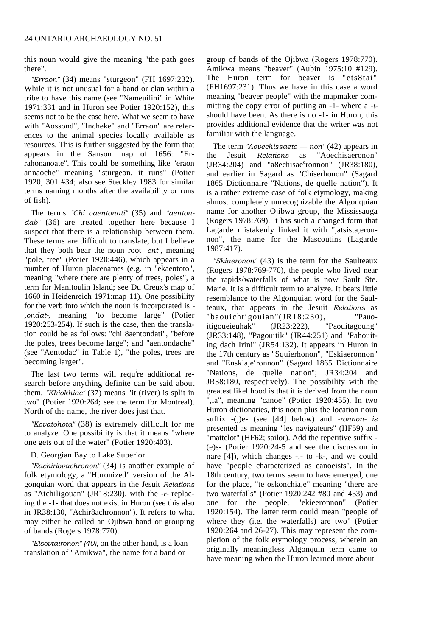this noun would give the meaning "the path goes there".

*"Erraon"* (34) means "sturgeon" (FH 1697:232). While it is not unusual for a band or clan within a tribe to have this name (see "Nameuilini" in White 1971:331 and in Huron see Potier 1920:152), this seems not to be the case here. What we seem to have with "Aossond", "Incheke" and "Erraon" are references to the animal species locally available as resources. This is further suggested by the form that appears in the Sanson map of 1656: "Errahonanoate". This could be something like "eraon annaoche" meaning "sturgeon, it runs" (Potier 1920; 301 #34; also see Steckley 1983 for similar terms naming months after the availability or runs of fish).

The terms *"Chi oaentonati"* (35) and *"aentondab"* (36) are treated together here because I suspect that there is a relationship between them. These terms are difficult to translate, but I believe that they both bear the noun root *-ent-,* meaning "pole, tree" (Potier 1920:446), which appears in a number of Huron placenames (e.g. in "ekaentoto", meaning "where there are plenty of trees, poles", a term for Manitoulin Island; see Du Creux's map of 1660 in Heidenreich 1971:map 11). One possibility for the verb into which the noun is incorporated is *- ,ondat-,* meaning "to become large" (Potier 1920:253-254). If such is the case, then the translation could be as follows: "chi 8aentondati", "before the poles, trees become large"; and "aentondache" (see "Aentodac" in Table 1), "the poles, trees are becoming larger".

The last two terms will requ<sup>i</sup>re additional research before anything definite can be said about them. *"Khiokhiac"* (37) means "it (river) is split in two" (Potier 1920:264; see the term for Montreal). North of the name, the river does just that.

*"Kovatohota"* (38) is extremely difficult for me to analyze. One possibility is that it means "where one gets out of the water" (Potier 1920:403).

#### D. Georgian Bay to Lake Superior

*"Eachiriovachronon"* (34) is another example of folk etymology, a "Huronized" version of the Algonquian word that appears in the Jesuit *Relations* as "Atchiligouan" (JR18:230), with the *-r-* replacing the -1- that does not exist in Huron (see this also in JR38:130, "Achir8achronnon"). It refers to what may either be called an Ojibwa band or grouping of bands (Rogers 1978:770).

*"Elsovtaironon" (40),* on the other hand, is a loan translation of "Amikwa", the name for a band or

group of bands of the Ojibwa (Rogers 1978:770). Amikwa means "beaver" (Aubin 1975:10 #129). The Huron term for beaver is "ets8tai" (FH1697:231). Thus we have in this case a word meaning "beaver people" with the mapmaker committing the copy error of putting an -1- where a *-t*should have been. As there is no -1- in Huron, this provides additional evidence that the writer was not familiar with the language.

The term *"Aovechissaeto — non"* (42) appears in the Jesuit *Relations* as "Aoechisaeronon"  $JR34:204$  and "a8echisae<sup>c</sup>ronnon" (JR38:180), and earlier in Sagard as "Chiserhonon" (Sagard 1865 Dictionnaire "Nations, de quelle nation"). It is a rather extreme case of folk etymology, making almost completely unrecognizable the Algonquian name for another Ojibwa group, the Mississauga (Rogers 1978:769). It has such a changed form that Lagarde mistakenly linked it with ",atsista,eronnon", the name for the Mascoutins (Lagarde 1987:417).

*"Skiaeronon"* (43) is the term for the Saulteaux (Rogers 1978:769-770), the people who lived near the rapids/waterfalls of what is now Sault Ste. Marie. It is a difficult term to analyze. It bears little resemblance to the Algonquian word for the Saulteaux, that appears in the Jesuit *Relations* as "baouichtigouian"(JR18:230), "Pauoitigoueieuhak" (JR23:222), "Paouitagoung" (JR33:148), "Pagouitik" (JR44:251) and "Pahouiting dach Irini" (JR54:132). It appears in Huron in the 17th century as "Squierhonon", "Eskiaeronnon" and "Enskia,e<sup>c</sup>ronnon" (Sagard 1865 Dictionnaire "Nations, de quelle nation"; JR34:204 and JR38:180, respectively). The possibility with the greatest likelihood is that it is derived from the noun ",ia", meaning "canoe" (Potier 1920:455). In two Huron dictionaries, this noun plus the location noun suffix -(,)e- (see [44] below) and *-ronnon- is* presented as meaning "les navigateurs" (HF59) and "mattelot" (HF62; sailor). Add the repetitive suffix - (e)s- (Potier 1920:24-5 and see the discussion in nare [4]), which changes -,- to -k-, and we could have "people characterized as canoeists". In the 18th century, two terms seem to have emerged, one for the place, "te oskonchia,e" meaning "there are two waterfalls" (Potier 1920:242 #80 and 453) and one for the people, "ekieeronnon" (Potier 1920:154). The latter term could mean "people of where they (i.e. the waterfalls) are two" (Potier 1920:264 and 26-27). This may represent the completion of the folk etymology process, wherein an originally meaningless Algonquin term came to have meaning when the Huron learned more about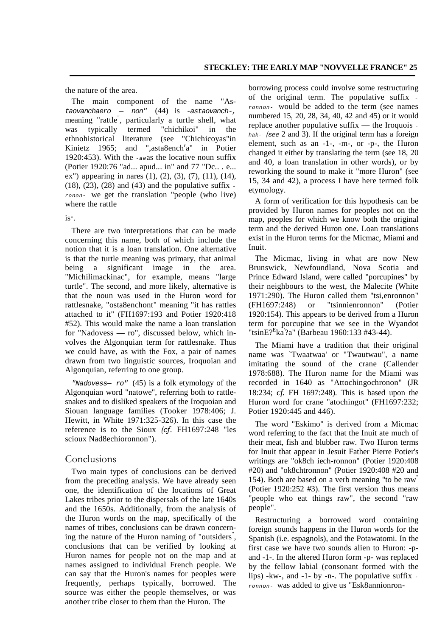the nature of the area.

The main component of the name "As*taovanchaero — non"* (44) is *-astaovanch-,* meaning "rattle" , particularly a turtle shell, what was typically termed "chichikoi" in the ethnohistorical literature (see "Chichicoyas"in Kinietz 1965; and ",asta8ench $a$ " in Potier 1920:453). With the *-ae*as the locative noun suffix (Potier 1920:76 "ad... apud... in" and 77 "Dc.. . e... ex") appearing in nares  $(1)$ ,  $(2)$ ,  $(3)$ ,  $(7)$ ,  $(11)$ ,  $(14)$ , (18), (23), (28) and (43) and the populative suffix  *ronon-* we get the translation "people (who live) where the rattle

## is".

There are two interpretations that can be made concerning this name, both of which include the notion that it is a loan translation. One alternative is that the turtle meaning was primary, that animal being a significant image in the area. "Michilimackinac", for example, means "large turtle". The second, and more likely, alternative is that the noun was used in the Huron word for rattlesnake, "osta8enchont" meaning "it has rattles attached to it" (FH1697:193 and Potier 1920:418 #52). This would make the name a loan translation for "Nadovess — ro", discussed below, which involves the Algonquian term for rattlesnake. Thus we could have, as with the Fox, a pair of names drawn from two linguistic sources, Iroquoian and Algonquian, referring to one group.

*"Nadovess— ro"* (45) is a folk etymology of the Algonquian word "natowe", referring both to rattlesnakes and to disliked speakers of the Iroquoian and Siouan language families (Tooker 1978:406; J. Hewitt, in White 1971:325-326). In this case the reference is to the Sioux *(cf.* FH1697:248 "les scioux Nad8echioronnon").

#### Conclusions

Two main types of conclusions can be derived from the preceding analysis. We have already seen one, the identification of the locations of Great Lakes tribes prior to the dispersals of the late 1640s and the 1650s. Additionally, from the analysis of the Huron words on the map, specifically of the names of tribes, conclusions can be drawn concerning the nature of the Huron naming of "outsiders" , conclusions that can be verified by looking at Huron names for people not on the map and at names assigned to individual French people. We can say that the Huron's names for peoples were frequently, perhaps typically, borrowed. The source was either the people themselves, or was another tribe closer to them than the Huron. The

borrowing process could involve some restructuring of the original term. The populative suffix  *ronnon-* would be added to the term (see names numbered 15, 20, 28, 34, 40, 42 and 45) or it would replace another populative suffix — the Iroquois  *hak- (see* 2 and 3). If the original term has a foreign element, such as an -1-, -m-, or -p-, the Huron changed it either by translating the term (see 18, 20 and 40, a loan translation in other words), or by reworking the sound to make it "more Huron" (see 15, 34 and 42), a process I have here termed folk etymology.

A form of verification for this hypothesis can be provided by Huron names for peoples not on the map, peoples for which we know both the original term and the derived Huron one. Loan translations exist in the Huron terms for the Micmac, Miami and Inuit.

The Micmac, living in what are now New Brunswick, Newfoundland, Nova Scotia and Prince Edward Island, were called "porcupines" by their neighbours to the west, the Malecite (White 1971:290). The Huron called them "tsi,enronnon" (FH1697:248) or "tsinnienronnon" (Potier 1920:154). This appears to be derived from a Huron term for porcupine that we see in the Wyandot "tsinE?<sup>E</sup>ka<sup>'</sup>?a" (Barbeau 1960:133 #43-44).

The Miami have a tradition that their original name was `Twaatwaa' or "Twautwau", a name imitating the sound of the crane (Callender 1978:688). The Huron name for the Miami was recorded in 1640 as "Attochingochronon" (JR 18:234; *cf.* FH 1697:248). This is based upon the Huron word for crane "atochingot" (FH1697:232; Potier 1920:445 and 446).

The word "Eskimo" is derived from a Micmac word referring to the fact that the Inuit ate much of their meat, fish and blubber raw. Two Huron terms for Inuit that appear in Jesuit Father Pierre Potier's writings are "ok8ch iech-ronnon" (Potier 1920:408 #20) and "ok8chtronnon" (Potier 1920:408 #20 and 154). Both are based on a verb meaning "to be raw " (Potier 1920:252 #3). The first version thus means "people who eat things raw", the second "raw people".

Restructuring a borrowed word containing foreign sounds happens in the Huron words for the Spanish (i.e. espagnols), and the Potawatomi. In the first case we have two sounds alien to Huron: -pand -1-. In the altered Huron form -p- was replaced by the fellow labial (consonant formed with the lips) -kw-, and -1- by -n-. The populative suffix  *ronnon-* was added to give us "Esk8annionron-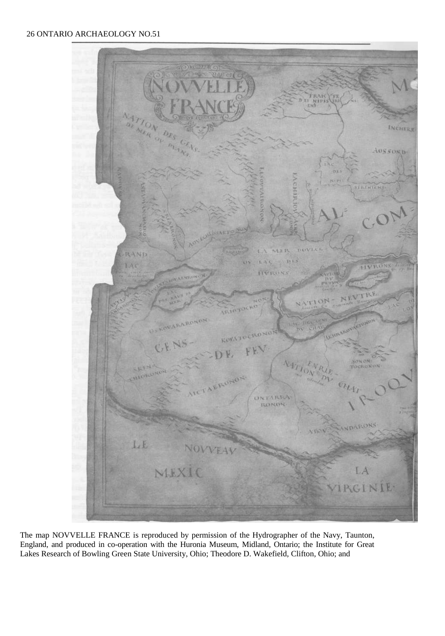

The map NOVVELLE FRANCE is reproduced by permission of the Hydrographer of the Navy, Taunton, England, and produced in co-operation with the Huronia Museum, Midland, Ontario; the Institute for Great Lakes Research of Bowling Green State University, Ohio; Theodore D. Wakefield, Clifton, Ohio; and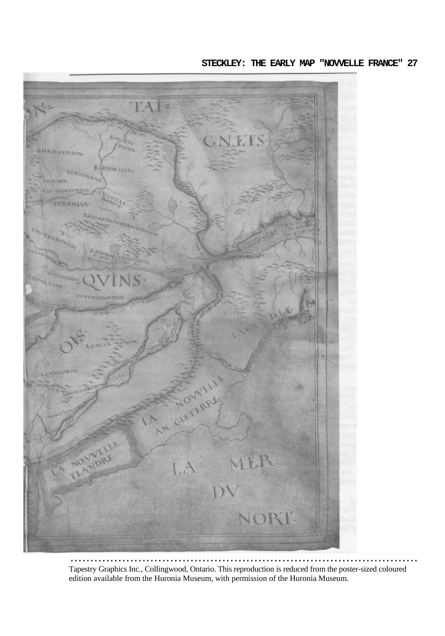

Tapestry Graphics Inc., Collingwood, Ontario. This reproduction is reduced from the poster-sized coloured edition available from the Huronia Museum, with permission of the Huronia Museum.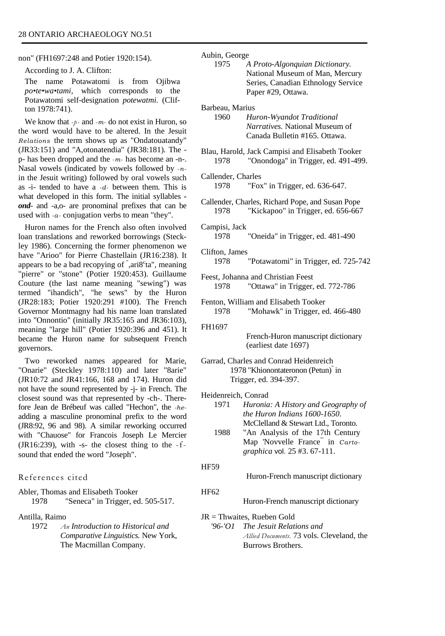non" (FH1697:248 and Potier 1920:154).

According to J. A. Clifton:

The name Potawatomi is from Ojibwa *po•te•wa•tami,* which corresponds to the Potawatomi self-designation *potewatmi.* (Clifton 1978:741).

We know that *-p -* and *-m-* do not exist in Huron, so the word would have to be altered. In the Jesuit *Relations* the term shows up as "Ondatouatandy" (JR33:151) and "A,otonatendia" (JR38:181). The p- has been dropped and the *-m-* has become an -n-. Nasal vowels (indicated by vowels followed by *-n*in the Jesuit writing) followed by oral vowels such as -i- tended to have a *-d-* between them. This is what developed in this form. The initial syllables  *ond-* and -a,o- are pronominal prefixes that can be used with *-a-* conjugation verbs to mean "they".

Huron names for the French also often involved loan translations and reworked borrowings (Steckley 1986). Concerning the former phenomenon we have "Arioo" for Pierre Chastellain (JR16:238). It appears to be a bad recopying of  $\degree$ , ari $8^{\circ}$ ta $\degree$ , meaning "pierre" or "stone" (Potier 1920:453). Guillaume Couture (the last name meaning "sewing") was termed "ihandich", "he sews" by the Huron (JR28:183; Potier 1920:291 #100). The French Governor Montmagny had his name loan translated into "Onnontio" (initially JR35:165 and JR36:103), meaning "large hill" (Potier 1920:396 and 451). It became the Huron name for subsequent French governors.

Two reworked names appeared for Marie, "Onarie" (Steckley 1978:110) and later "8arie" (JR10:72 and JR41:166, 168 and 174). Huron did not have the sound represented by -j- in French. The closest sound was that represented by -ch-. Therefore Jean de Brébeuf was called "Hechon", the *-he*adding a masculine pronominal prefix to the word (JR8:92, 96 and 98). A similar reworking occurred with "Chauose" for Francois Joseph Le Mercier (JR16:239), with -s- the closest thing to the -fsound that ended the word "Joseph".

References cited

Abler, Thomas and Elisabeth Tooker 1978 "Seneca" in Trigger, ed. 505-517.

Antilla, Raimo

1972 *An Introduction to Historical and Comparative Linguistics.* New York, The Macmillan Company.

Aubin, George

1975 *A Proto-Algonquian Dictionary.* National Museum of Man, Mercury Series, Canadian Ethnology Service Paper #29, Ottawa.

Barbeau, Marius

1960 *Huron-Wyandot Traditional Narratives.* National Museum of Canada Bulletin #165. Ottawa.

Blau, Harold, Jack Campisi and Elisabeth Tooker 1978 "Onondoga" in Trigger, ed. 491-499.

Callender, Charles

1978 "Fox" in Trigger, ed. 636-647.

- Callender, Charles, Richard Pope, and Susan Pope 1978 "Kickapoo" in Trigger, ed. 656-667
- Campisi, Jack 1978 "Oneida" in Trigger, ed. 481-490
- Clifton, James 1978 "Potawatomi" in Trigger, ed. 725-742
- Feest, Johanna and Christian Feest 1978 "Ottawa" in Trigger, ed. 772-786
- Fenton, William and Elisabeth Tooker 1978 "Mohawk" in Trigger, ed. 466-480

FH1697

French-Huron manuscript dictionary (earliest date 1697)

- Garrad, Charles and Conrad Heidenreich 1978 "Khionontateronon (Petun)" in Trigger, ed. 394-397.
- Heidenreich, Conrad

| 1971 | Huronia: A History and Geography of |
|------|-------------------------------------|
|      | the Huron Indians 1600-1650.        |
|      | McClelland & Stewart Ltd., Toronto. |
| 1988 | "An Analysis of the 17th Century    |
|      | Map 'Novvelle France in Carto-      |
|      | <i>graphica</i> vol. 25 #3. 67-111. |

HF59

- Huron-French manuscript dictionary
- HF62

Huron-French manuscript dictionary

JR = Thwaites, Rueben Gold

*'96-'O1 The Jesuit Relations and Allied Documents.* 73 vols. Cleveland, the Burrows Brothers.